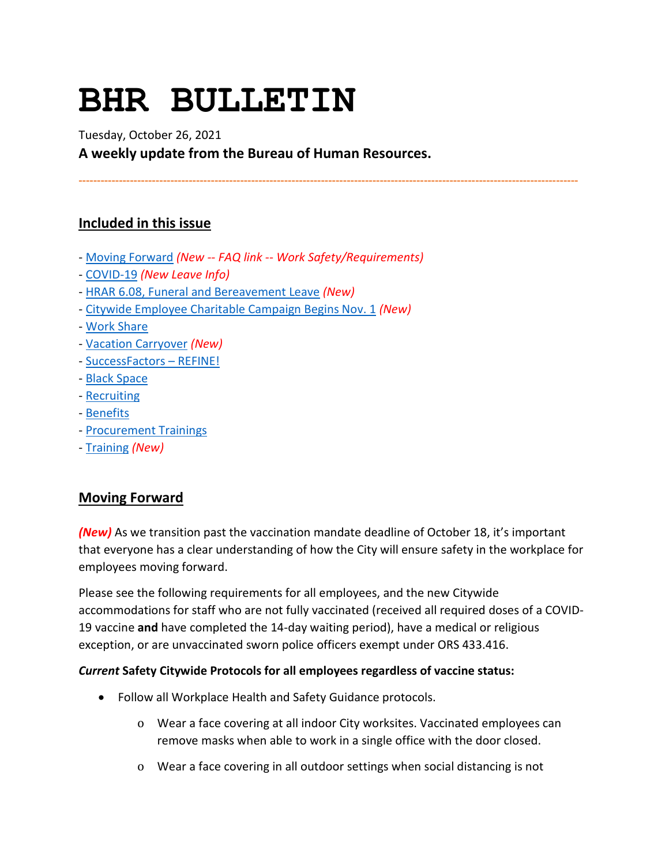# **BHR BULLETIN**

Tuesday, October 26, 2021

**A weekly update from the Bureau of Human Resources.**

**----------------------------------------------------------------------------------------------------------------------------------------**

# **Included in this issue**

- [Moving Forward](#page-0-0) *(New -- FAQ link -- Work Safety/Requirements)*
- [COVID-19](#page-2-0) *(New Leave Info)*
- [HRAR 6.08, Funeral and Bereavement Leave](#page-5-0) *(New)*
- [Citywide Employee Charitable Campaign Begins Nov. 1](#page-5-1) *(New)*
- [Work Share](#page-6-0)
- [Vacation Carryover](#page-7-0) *(New)*
- [SuccessFactors –](#page-7-1) REFINE!
- [Black Space](#page-9-0)
- [Recruiting](#page-9-1)
- [Benefits](#page-9-2)
- [Procurement Trainings](#page-11-0)
- [Training](#page-11-1) *(New)*

## <span id="page-0-0"></span>**Moving Forward**

*(New)* As we transition past the vaccination mandate deadline of October 18, it's important that everyone has a clear understanding of how the City will ensure safety in the workplace for employees moving forward.

Please see the following requirements for all employees, and the new Citywide accommodations for staff who are not fully vaccinated (received all required doses of a COVID-19 vaccine **and** have completed the 14-day waiting period), have a medical or religious exception, or are unvaccinated sworn police officers exempt under ORS 433.416.

#### *Current* **Safety Citywide Protocols for all employees regardless of vaccine status:**

- Follow all Workplace Health and Safety Guidance protocols.
	- o Wear a face covering at all indoor City worksites. Vaccinated employees can remove masks when able to work in a single office with the door closed.
	- o Wear a face covering in all outdoor settings when social distancing is not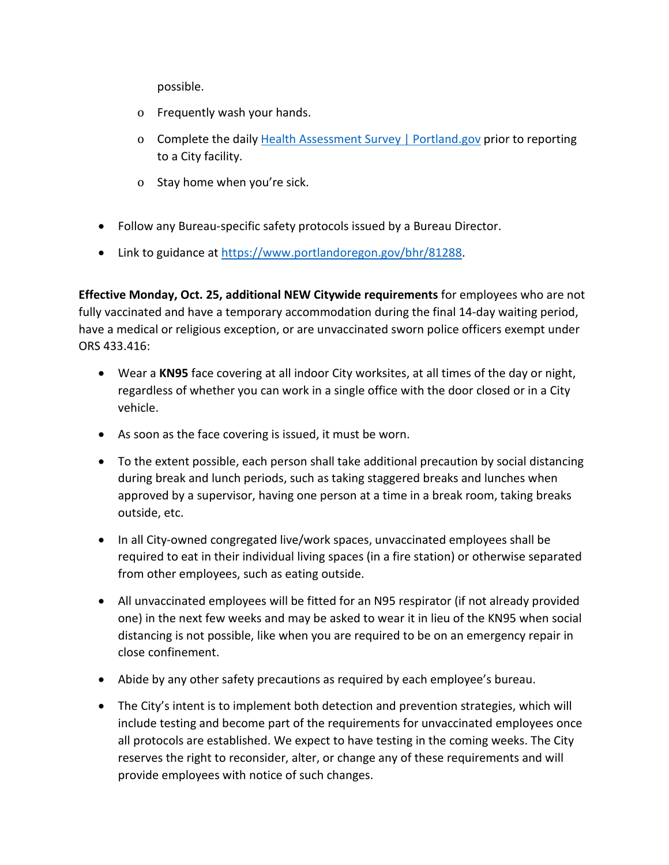possible.

- o Frequently wash your hands.
- o Complete the daily [Health Assessment Survey | Portland.gov](https://www.portland.gov/health-assessment) prior to reporting to a City facility.
- o Stay home when you're sick.
- Follow any Bureau-specific safety protocols issued by a Bureau Director.
- Link to guidance at [https://www.portlandoregon.gov/bhr/81288.](https://www.portlandoregon.gov/bhr/81288)

**Effective Monday, Oct. 25, additional NEW Citywide requirements** for employees who are not fully vaccinated and have a temporary accommodation during the final 14-day waiting period, have a medical or religious exception, or are unvaccinated sworn police officers exempt under ORS 433.416:

- Wear a **KN95** face covering at all indoor City worksites, at all times of the day or night, regardless of whether you can work in a single office with the door closed or in a City vehicle.
- As soon as the face covering is issued, it must be worn.
- To the extent possible, each person shall take additional precaution by social distancing during break and lunch periods, such as taking staggered breaks and lunches when approved by a supervisor, having one person at a time in a break room, taking breaks outside, etc.
- In all City-owned congregated live/work spaces, unvaccinated employees shall be required to eat in their individual living spaces (in a fire station) or otherwise separated from other employees, such as eating outside.
- All unvaccinated employees will be fitted for an N95 respirator (if not already provided one) in the next few weeks and may be asked to wear it in lieu of the KN95 when social distancing is not possible, like when you are required to be on an emergency repair in close confinement.
- Abide by any other safety precautions as required by each employee's bureau.
- The City's intent is to implement both detection and prevention strategies, which will include testing and become part of the requirements for unvaccinated employees once all protocols are established. We expect to have testing in the coming weeks. The City reserves the right to reconsider, alter, or change any of these requirements and will provide employees with notice of such changes.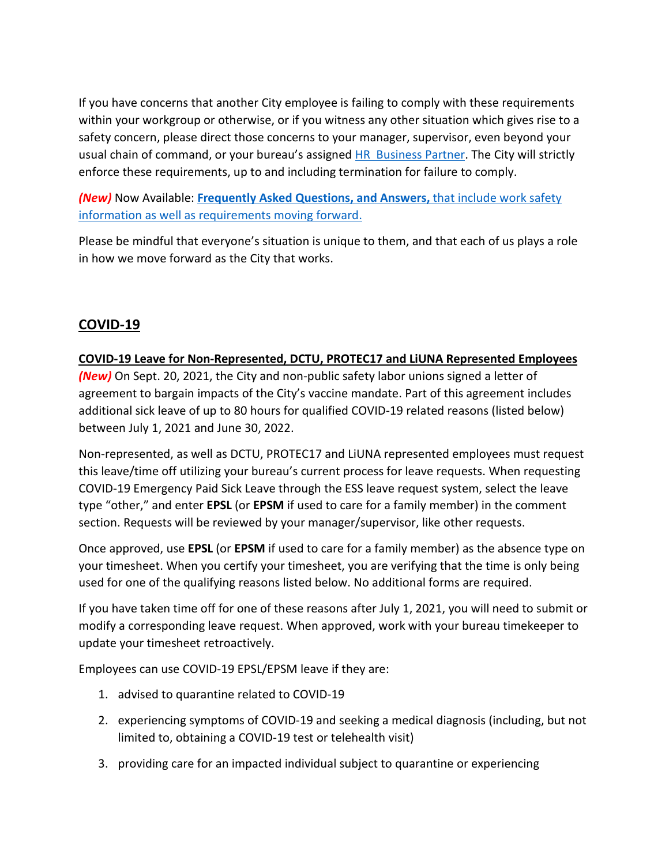If you have concerns that another City employee is failing to comply with these requirements within your workgroup or otherwise, or if you witness any other situation which gives rise to a safety concern, please direct those concerns to your manager, supervisor, even beyond your usual chain of command, or your bureau's assigned [HR Business Partner.](https://www.portlandoregon.gov/bhr/article/430513) The City will strictly enforce these requirements, up to and including termination for failure to comply.

*(New)* Now Available: **Frequently Asked Questions, and Answers,** [that include work safety](https://www.portland.gov/bhr/covid-19-safety-info-and-requirements-faq)  [information as well as requirements moving forward.](https://www.portland.gov/bhr/covid-19-safety-info-and-requirements-faq)

Please be mindful that everyone's situation is unique to them, and that each of us plays a role in how we move forward as the City that works.

# <span id="page-2-0"></span>**COVID-19**

#### **COVID-19 Leave for Non-Represented, DCTU, PROTEC17 and LiUNA Represented Employees**

*(New)* On Sept. 20, 2021, the City and non-public safety labor unions signed a letter of agreement to bargain impacts of the City's vaccine mandate. Part of this agreement includes additional sick leave of up to 80 hours for qualified COVID-19 related reasons (listed below) between July 1, 2021 and June 30, 2022.

Non-represented, as well as DCTU, PROTEC17 and LiUNA represented employees must request this leave/time off utilizing your bureau's current process for leave requests. When requesting COVID-19 Emergency Paid Sick Leave through the ESS leave request system, select the leave type "other," and enter **EPSL** (or **EPSM** if used to care for a family member) in the comment section. Requests will be reviewed by your manager/supervisor, like other requests.

Once approved, use **EPSL** (or **EPSM** if used to care for a family member) as the absence type on your timesheet. When you certify your timesheet, you are verifying that the time is only being used for one of the qualifying reasons listed below. No additional forms are required.

If you have taken time off for one of these reasons after July 1, 2021, you will need to submit or modify a corresponding leave request. When approved, work with your bureau timekeeper to update your timesheet retroactively.

Employees can use COVID-19 EPSL/EPSM leave if they are:

- 1. advised to quarantine related to COVID-19
- 2. experiencing symptoms of COVID-19 and seeking a medical diagnosis (including, but not limited to, obtaining a COVID-19 test or telehealth visit)
- 3. providing care for an impacted individual subject to quarantine or experiencing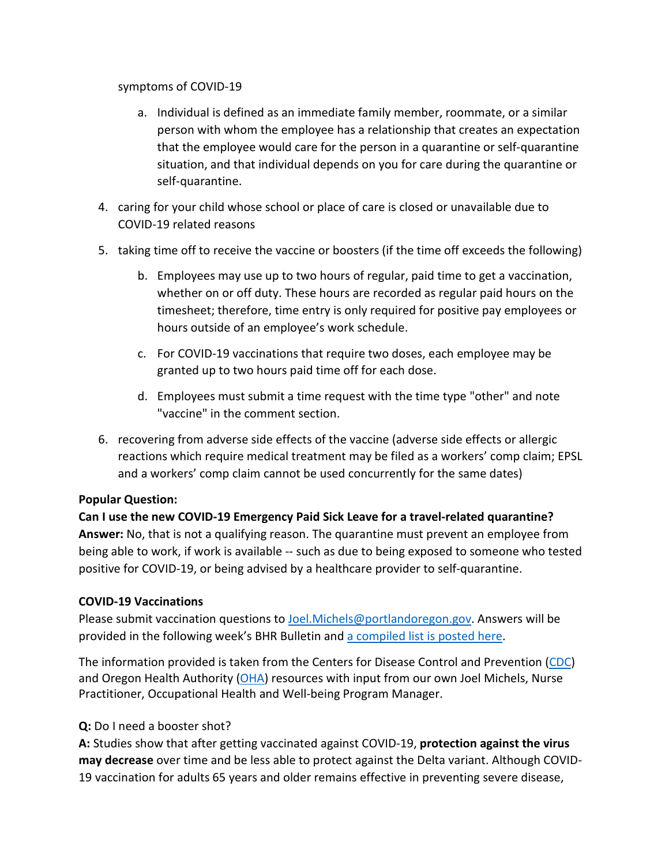#### symptoms of COVID-19

- a. Individual is defined as an immediate family member, roommate, or a similar person with whom the employee has a relationship that creates an expectation that the employee would care for the person in a quarantine or self-quarantine situation, and that individual depends on you for care during the quarantine or self-quarantine.
- 4. caring for your child whose school or place of care is closed or unavailable due to COVID-19 related reasons
- 5. taking time off to receive the vaccine or boosters (if the time off exceeds the following)
	- b. Employees may use up to two hours of regular, paid time to get a vaccination, whether on or off duty. These hours are recorded as regular paid hours on the timesheet; therefore, time entry is only required for positive pay employees or hours outside of an employee's work schedule.
	- c. For COVID-19 vaccinations that require two doses, each employee may be granted up to two hours paid time off for each dose.
	- d. Employees must submit a time request with the time type "other" and note "vaccine" in the comment section.
- 6. recovering from adverse side effects of the vaccine (adverse side effects or allergic reactions which require medical treatment may be filed as a workers' comp claim; EPSL and a workers' comp claim cannot be used concurrently for the same dates)

#### **Popular Question:**

**Can I use the new COVID-19 Emergency Paid Sick Leave for a travel-related quarantine? Answer:** No, that is not a qualifying reason. The quarantine must prevent an employee from being able to work, if work is available -- such as due to being exposed to someone who tested positive for COVID-19, or being advised by a healthcare provider to self-quarantine.

#### **COVID-19 Vaccinations**

Please submit vaccination questions to [Joel.Michels@portlandoregon.gov.](mailto:Joel.Michels@portlandoregon.gov) Answers will be provided in the following week's BHR Bulletin an[d a compiled list is posted here.](https://www.portlandoregon.gov/bhr/article/796480)

The information provided is taken from the Centers for Disease Control and Prevention [\(CDC\)](https://www.cdc.gov/coronavirus/2019-ncov/vaccines/index.html) and Oregon Health Authority [\(OHA\)](https://covidvaccine.oregon.gov/) resources with input from our own Joel Michels, Nurse Practitioner, Occupational Health and Well-being Program Manager.

#### **Q:** Do I need a booster shot?

**A:** Studies show that after getting vaccinated against COVID-19, **protection against the virus may decrease** over time and be less able to protect against the Delta variant. Although COVID-19 vaccination for adults 65 years and older remains effective in preventing severe disease,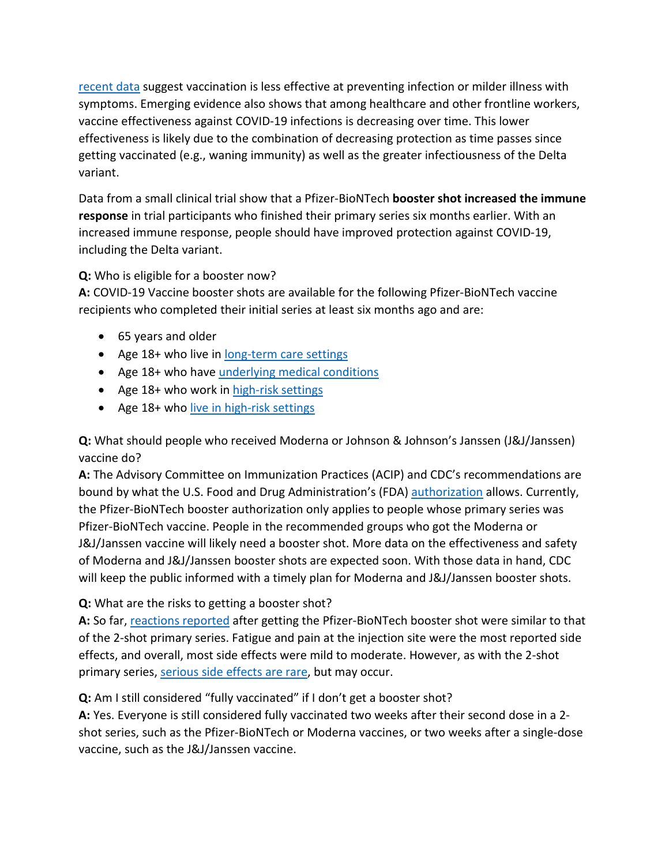[recent data](https://www.cdc.gov/vaccines/acip/meetings/downloads/slides-2021-9-23/03-COVID-Oliver.pdf) suggest vaccination is less effective at preventing infection or milder illness with symptoms. Emerging evidence also shows that among healthcare and other frontline workers, vaccine effectiveness against COVID-19 infections is decreasing over time. This lower effectiveness is likely due to the combination of decreasing protection as time passes since getting vaccinated (e.g., waning immunity) as well as the greater infectiousness of the Delta variant.

Data from a small clinical trial show that a Pfizer-BioNTech **booster shot increased the immune response** in trial participants who finished their primary series six months earlier. With an increased immune response, people should have improved protection against COVID-19, including the Delta variant.

## **Q:** Who is eligible for a booster now?

**A:** COVID-19 Vaccine booster shots are available for the following Pfizer-BioNTech vaccine recipients who completed their initial series at least six months ago and are:

- 65 years and older
- Age 18+ who live in [long-term care settings](https://www.cdc.gov/coronavirus/2019-ncov/vaccines/booster-shot.html#long-term-care)
- Age 18+ who have [underlying medical conditions](https://www.cdc.gov/coronavirus/2019-ncov/need-extra-precautions/people-with-medical-conditions.html)
- Age 18+ who work in [high-risk settings](https://www.cdc.gov/coronavirus/2019-ncov/vaccines/booster-shot.html#HighRisk)
- Age 18+ who [live in high-risk settings](https://www.cdc.gov/coronavirus/2019-ncov/vaccines/booster-shot.html#HighRisk)

**Q:** What should people who received Moderna or Johnson & Johnson's Janssen (J&J/Janssen) vaccine do?

**A:** The Advisory Committee on Immunization Practices (ACIP) and CDC's recommendations are bound by what the U.S. Food and Drug Administration's (FDA) [authorization](https://www.fda.gov/news-events/press-announcements/fda-authorizes-booster-dose-pfizer-biontech-covid-19-vaccine-certain-populations) allows. Currently, the Pfizer-BioNTech booster authorization only applies to people whose primary series was Pfizer-BioNTech vaccine. People in the recommended groups who got the Moderna or J&J/Janssen vaccine will likely need a booster shot. More data on the effectiveness and safety of Moderna and J&J/Janssen booster shots are expected soon. With those data in hand, CDC will keep the public informed with a timely plan for Moderna and J&J/Janssen booster shots.

#### **Q:** What are the risks to getting a booster shot?

**A:** So far, [reactions reported](https://www.cdc.gov/vaccines/acip/meetings/downloads/slides-2021-9-23/03-COVID-Oliver.pdf) after getting the Pfizer-BioNTech booster shot were similar to that of the 2-shot primary series. Fatigue and pain at the injection site were the most reported side effects, and overall, most side effects were mild to moderate. However, as with the 2-shot primary series, [serious side effects are rare,](https://www.cdc.gov/coronavirus/2019-ncov/vaccines/safety/safety-of-vaccines.html) but may occur.

**Q:** Am I still considered "fully vaccinated" if I don't get a booster shot?

**A:** Yes. Everyone is still considered fully vaccinated two weeks after their second dose in a 2 shot series, such as the Pfizer-BioNTech or Moderna vaccines, or two weeks after a single-dose vaccine, such as the J&J/Janssen vaccine.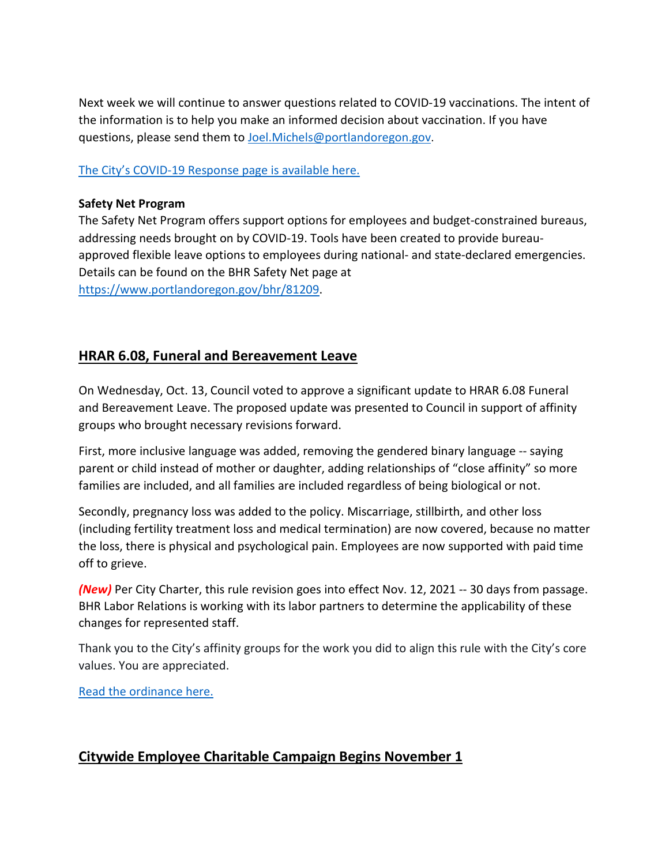Next week we will continue to answer questions related to COVID-19 vaccinations. The intent of the information is to help you make an informed decision about vaccination. If you have questions, please send them to [Joel.Michels@portlandoregon.gov.](mailto:Joel.Michels@portlandoregon.gov)

#### [The City's COVID-19 Response page is available here.](https://www.portlandoregon.gov/bhr/index.cfm?&c=81055)

#### **Safety Net Program**

The Safety Net Program offers support options for employees and budget-constrained bureaus, addressing needs brought on by COVID-19. Tools have been created to provide bureauapproved flexible leave options to employees during national- and state-declared emergencies. Details can be found on the BHR Safety Net page at [https://www.portlandoregon.gov/bhr/81209.](https://www.portlandoregon.gov/bhr/81209)

# <span id="page-5-0"></span>**HRAR 6.08, Funeral and Bereavement Leave**

On Wednesday, Oct. 13, Council voted to approve a significant update to HRAR 6.08 Funeral and Bereavement Leave. The proposed update was presented to Council in support of affinity groups who brought necessary revisions forward.

First, more inclusive language was added, removing the gendered binary language -- saying parent or child instead of mother or daughter, adding relationships of "close affinity" so more families are included, and all families are included regardless of being biological or not.

Secondly, pregnancy loss was added to the policy. Miscarriage, stillbirth, and other loss (including fertility treatment loss and medical termination) are now covered, because no matter the loss, there is physical and psychological pain. Employees are now supported with paid time off to grieve.

*(New)* Per City Charter, this rule revision goes into effect Nov. 12, 2021 -- 30 days from passage. BHR Labor Relations is working with its labor partners to determine the applicability of these changes for represented staff.

Thank you to the City's affinity groups for the work you did to align this rule with the City's core values. You are appreciated.

[Read the ordinance here.](https://www.portland.gov/council/documents/ordinance/passed/190580)

# <span id="page-5-1"></span>**Citywide Employee Charitable Campaign Begins November 1**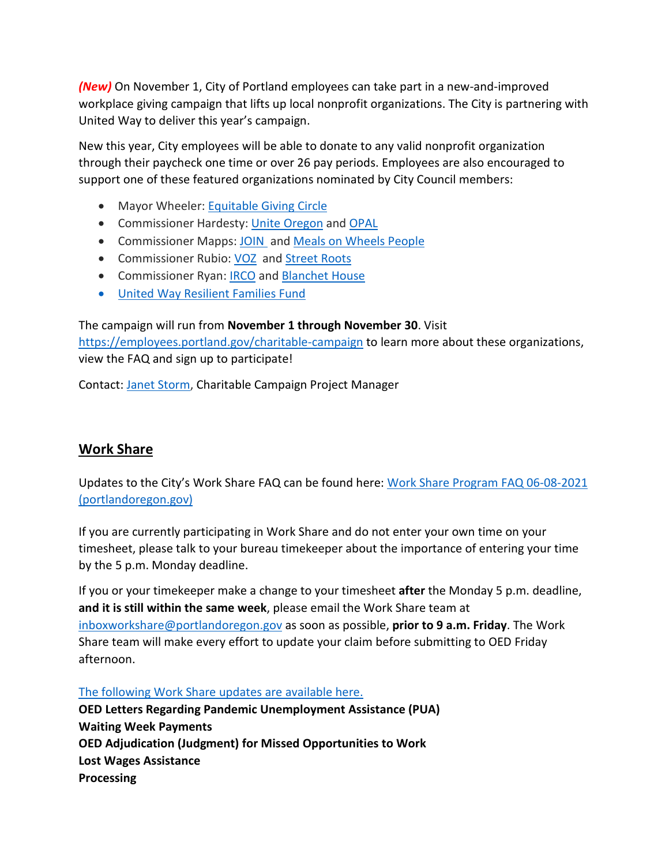*(New)* On November 1, City of Portland employees can take part in a new-and-improved workplace giving campaign that lifts up local nonprofit organizations. The City is partnering with United Way to deliver this year's campaign.

New this year, City employees will be able to donate to any valid nonprofit organization through their paycheck one time or over 26 pay periods. Employees are also encouraged to support one of these featured organizations nominated by City Council members:

- Mayor Wheeler: [Equitable Giving Circle](https://t.e2ma.net/click/j4xkwh/nnvyxt/3nixp1)
- Commissioner Hardesty: [Unite Oregon](https://t.e2ma.net/click/j4xkwh/nnvyxt/jgjxp1) and [OPAL](https://t.e2ma.net/click/j4xkwh/nnvyxt/z8jxp1)
- Commissioner Mapps: [JOIN](https://t.e2ma.net/click/j4xkwh/nnvyxt/f1kxp1) and [Meals on Wheels People](https://t.e2ma.net/click/j4xkwh/nnvyxt/vtlxp1)
- Commissioner Rubio: [VOZ](https://t.e2ma.net/click/j4xkwh/nnvyxt/bmmxp1) and [Street Roots](https://t.e2ma.net/click/j4xkwh/nnvyxt/renxp1)
- Commissioner Ryan: **IRCO** and **Blanchet House**
- [United Way Resilient Families Fund](https://t.e2ma.net/click/j4xkwh/nnvyxt/3rpxp1)

The campaign will run from **November 1 through November 30**. Visit <https://employees.portland.gov/charitable-campaign> to learn more about these organizations, view the FAQ and sign up to participate!

Contact: [Janet Storm,](mailto:janet.storm@portlandoregon.gov) Charitable Campaign Project Manager

# <span id="page-6-0"></span>**Work Share**

Updates to the City's Work Share FAQ can be found here: [Work Share Program FAQ 06-08-2021](https://www.portlandoregon.gov/bhr/article/761976)  [\(portlandoregon.gov\)](https://www.portlandoregon.gov/bhr/article/761976)

If you are currently participating in Work Share and do not enter your own time on your timesheet, please talk to your bureau timekeeper about the importance of entering your time by the 5 p.m. Monday deadline.

If you or your timekeeper make a change to your timesheet **after** the Monday 5 p.m. deadline, **and it is still within the same week**, please email the Work Share team at [inboxworkshare@portlandoregon.gov](mailto:inboxworkshare@portlandoregon.gov) as soon as possible, **prior to 9 a.m. Friday**. The Work Share team will make every effort to update your claim before submitting to OED Friday afternoon.

[The following Work Share updates are available here.](https://www.portlandoregon.gov/bhr/article/796870)

**OED Letters Regarding Pandemic Unemployment Assistance (PUA) Waiting Week Payments OED Adjudication (Judgment) for Missed Opportunities to Work Lost Wages Assistance Processing**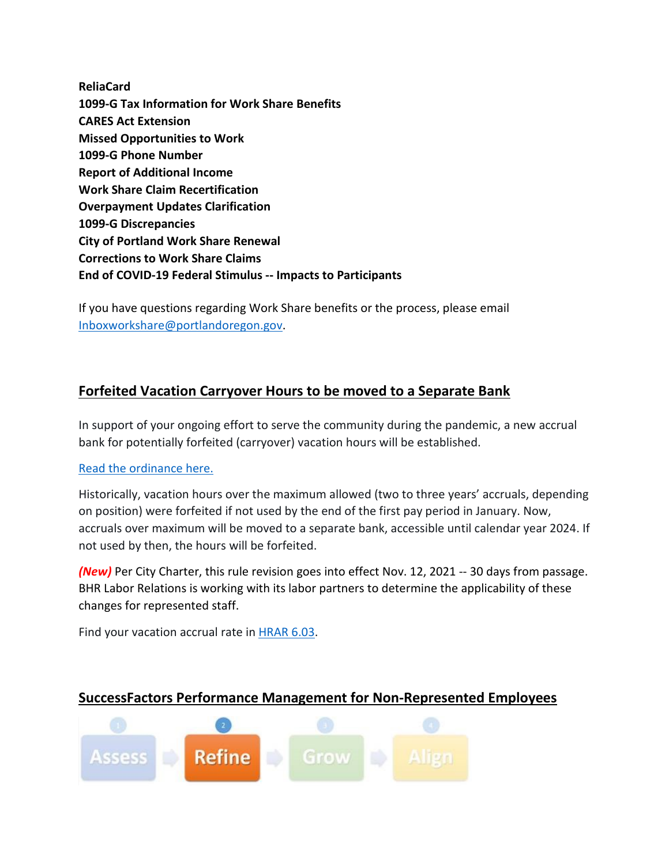**ReliaCard 1099-G Tax Information for Work Share Benefits CARES Act Extension Missed Opportunities to Work 1099-G Phone Number Report of Additional Income Work Share Claim Recertification Overpayment Updates Clarification 1099-G Discrepancies City of Portland Work Share Renewal Corrections to Work Share Claims End of COVID-19 Federal Stimulus -- Impacts to Participants**

If you have questions regarding Work Share benefits or the process, please email [Inboxworkshare@portlandoregon.gov.](mailto:Inboxworkshare@portlandoregon.gov)

# <span id="page-7-0"></span>**Forfeited Vacation Carryover Hours to be moved to a Separate Bank**

In support of your ongoing effort to serve the community during the pandemic, a new accrual bank for potentially forfeited (carryover) vacation hours will be established.

#### [Read the ordinance here.](https://www.portland.gov/council/documents/ordinance/733-accrual-bank-vacation-over-max)

Historically, vacation hours over the maximum allowed (two to three years' accruals, depending on position) were forfeited if not used by the end of the first pay period in January. Now, accruals over maximum will be moved to a separate bank, accessible until calendar year 2024. If not used by then, the hours will be forfeited.

*(New)* Per City Charter, this rule revision goes into effect Nov. 12, 2021 -- 30 days from passage. BHR Labor Relations is working with its labor partners to determine the applicability of these changes for represented staff.

Find your vacation accrual rate i[n HRAR 6.03.](https://www.portland.gov/sites/default/files/2020-06/6-03-vacation.pdf)

# <span id="page-7-1"></span>**SuccessFactors Performance Management for Non-Represented Employees**

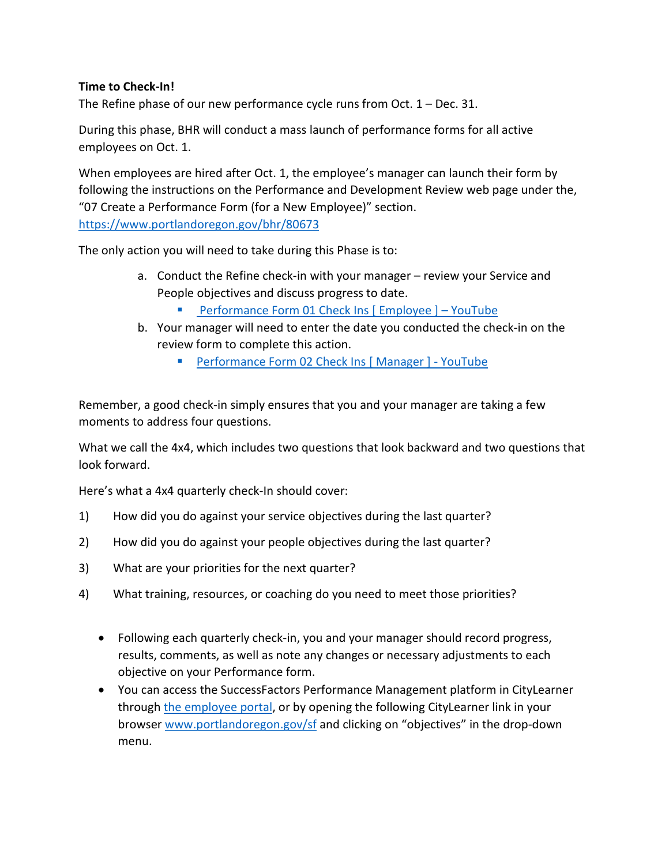#### **Time to Check-In!**

The Refine phase of our new performance cycle runs from Oct. 1 – Dec. 31.

During this phase, BHR will conduct a mass launch of performance forms for all active employees on Oct. 1.

When employees are hired after Oct. 1, the employee's manager can launch their form by following the instructions on the Performance and Development Review web page under the, "07 Create a Performance Form (for a New Employee)" section. <https://www.portlandoregon.gov/bhr/80673>

The only action you will need to take during this Phase is to:

- a. Conduct the Refine check-in with your manager review your Service and People objectives and discuss progress to date.
	- [Performance Form 01 Check Ins \[ Employee \] –](https://www.youtube.com/watch?v=jsjxScZqKqU) YouTube
- b. Your manager will need to enter the date you conducted the check-in on the review form to complete this action.
	- **Performance Form 02 Check Ins [Manager ] YouTube**

Remember, a good check-in simply ensures that you and your manager are taking a few moments to address four questions.

What we call the 4x4, which includes two questions that look backward and two questions that look forward.

Here's what a 4x4 quarterly check-In should cover:

- 1) How did you do against your service objectives during the last quarter?
- 2) How did you do against your people objectives during the last quarter?
- 3) What are your priorities for the next quarter?
- 4) What training, resources, or coaching do you need to meet those priorities?
	- Following each quarterly check-in, you and your manager should record progress, results, comments, as well as note any changes or necessary adjustments to each objective on your Performance form.
	- You can access the SuccessFactors Performance Management platform in CityLearner through [the employee portal,](https://www.portlandoregon.gov/employee/index.cfm?) or by opening the following CityLearner link in your browser [www.portlandoregon.gov/sf](http://www.portlandoregon.gov/sf) and clicking on "objectives" in the drop-down menu.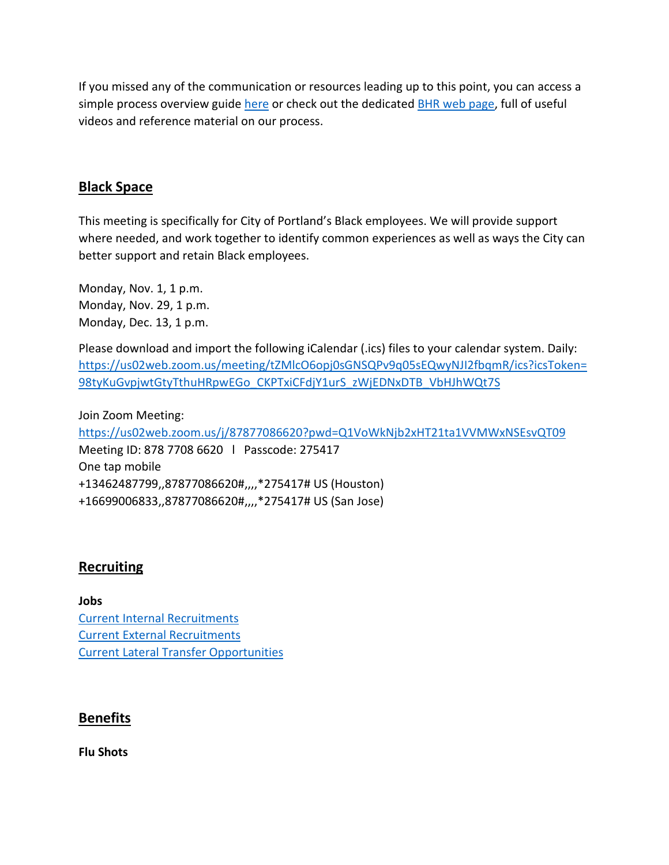If you missed any of the communication or resources leading up to this point, you can access a simple process overview guide [here](https://www.portlandoregon.gov/bhr/article/758125) or check out the dedicated **BHR** web page, full of useful videos and reference material on our process.

#### <span id="page-9-0"></span>**Black Space**

This meeting is specifically for City of Portland's Black employees. We will provide support where needed, and work together to identify common experiences as well as ways the City can better support and retain Black employees.

Monday, Nov. 1, 1 p.m. Monday, Nov. 29, 1 p.m. Monday, Dec. 13, 1 p.m.

Please download and import the following iCalendar (.ics) files to your calendar system. Daily: [https://us02web.zoom.us/meeting/tZMlcO6opj0sGNSQPv9q05sEQwyNJI2fbqmR/ics?icsToken=](https://us02web.zoom.us/meeting/tZMlcO6opj0sGNSQPv9q05sEQwyNJI2fbqmR/ics?icsToken=98tyKuGvpjwtGtyTthuHRpwEGo_CKPTxiCFdjY1urS_zWjEDNxDTB_VbHJhWQt7S) [98tyKuGvpjwtGtyTthuHRpwEGo\\_CKPTxiCFdjY1urS\\_zWjEDNxDTB\\_VbHJhWQt7S](https://us02web.zoom.us/meeting/tZMlcO6opj0sGNSQPv9q05sEQwyNJI2fbqmR/ics?icsToken=98tyKuGvpjwtGtyTthuHRpwEGo_CKPTxiCFdjY1urS_zWjEDNxDTB_VbHJhWQt7S)

Join Zoom Meeting: <https://us02web.zoom.us/j/87877086620?pwd=Q1VoWkNjb2xHT21ta1VVMWxNSEsvQT09> Meeting ID: 878 7708 6620 l Passcode: 275417 One tap mobile +13462487799,,87877086620#,,,,\*275417# US (Houston) +16699006833,,87877086620#,,,,\*275417# US (San Jose)

#### <span id="page-9-1"></span>**Recruiting**

**Jobs** [Current Internal Recruitments](https://www.governmentjobs.com/careers/portlandor/promotionaljobs) [Current External Recruitments](https://www.governmentjobs.com/careers/portlandor?) [Current Lateral Transfer Opportunities](https://www.governmentjobs.com/careers/portlandor/transferjobs)

#### <span id="page-9-2"></span>**Benefits**

**Flu Shots**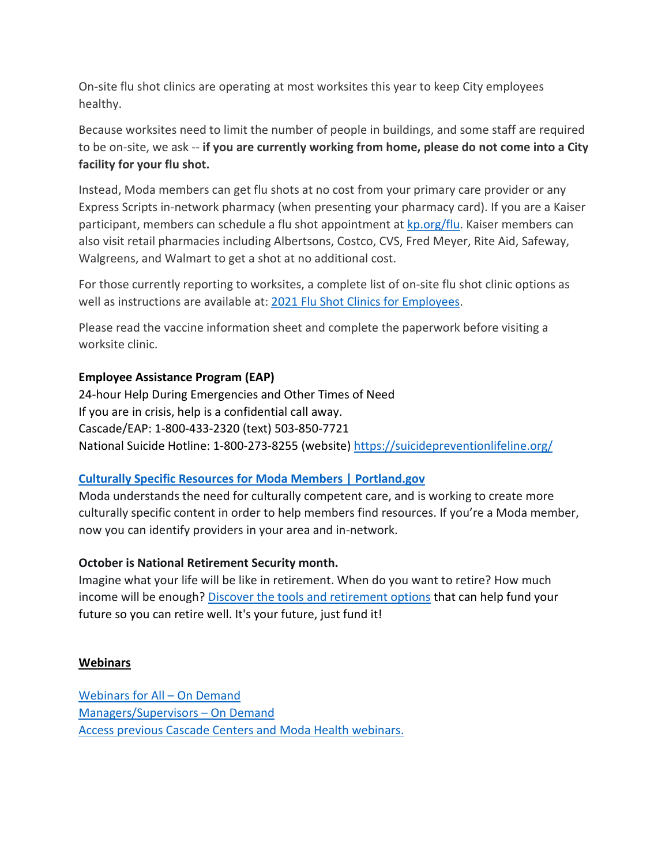On-site flu shot clinics are operating at most worksites this year to keep City employees healthy.

Because worksites need to limit the number of people in buildings, and some staff are required to be on-site, we ask -- **if you are currently working from home, please do not come into a City facility for your flu shot.**

Instead, Moda members can get flu shots at no cost from your primary care provider or any Express Scripts in-network pharmacy (when presenting your pharmacy card). If you are a Kaiser participant, members can schedule a flu shot appointment at [kp.org/flu.](https://healthy.kaiserpermanente.org/oregon-washington/health-wellness/flu) Kaiser members can also visit retail pharmacies including Albertsons, Costco, CVS, Fred Meyer, Rite Aid, Safeway, Walgreens, and Walmart to get a shot at no additional cost.

For those currently reporting to worksites, a complete list of on-site flu shot clinic options as well as instructions are available at: [2021 Flu Shot Clinics for Employees.](https://www.portland.gov/bhr/benefit-offerings/events/2021/9/15/2021-flu-shot-clinics-employees)

Please read the vaccine information sheet and complete the paperwork before visiting a worksite clinic.

#### **Employee Assistance Program (EAP)**

24-hour Help During Emergencies and Other Times of Need If you are in crisis, help is a confidential call away. Cascade/EAP: 1-800-433-2320 (text) 503-850-7721 National Suicide Hotline: 1-800-273-8255 (website) <https://suicidepreventionlifeline.org/>

#### **[Culturally Specific Resources for Moda Members | Portland.gov](https://www.portland.gov/bhr/benefit-offerings/news/2021/8/17/culturally-specific-resources-moda-members-0)**

Moda understands the need for culturally competent care, and is working to create more culturally specific content in order to help members find resources. If you're a Moda member, now you can identify providers in your area and in-network.

#### **October is National Retirement Security month.**

Imagine what your life will be like in retirement. When do you want to retire? How much income will be enough? [Discover the tools and retirement options](https://www.portland.gov/bhr/benefit-offerings/news/2021/10/1/its-your-future-just-fund-it) that can help fund your future so you can retire well. It's your future, just fund it!

#### **Webinars**

[Webinars for All –](https://cascade-gateway.lifeadvantages.net/module.php/core/loginuserpass.php?AuthState=_3ce03a5425cee12e62d0304fc638e4faf53e14890d%3Ahttps%3A%2F%2Fcascade-gateway.lifeadvantages.net%2Fsaml2%2Fidp%2FSSOService.php%3Fspentityid%3Dhttps%253A%252F%252Fsaml-01.personaladvantage.com%252Fsp%26cookieTime%3D1625593352%26RelayState%3Dss%253Amem%253A1d8e1b0ec14601a8153ab04497bc5fd0f0d50a5926308558f40d35a41079c199) On Demand [Managers/Supervisors –](https://www.portlandoregon.gov/bhr/article/750308) On Deman[d](https://www.portlandoregon.gov/bhr/article/750308) [Access previous Cascade Centers and Moda Health webinars.](https://www.portlandoregon.gov/bhr/index.cfm?&c=79368)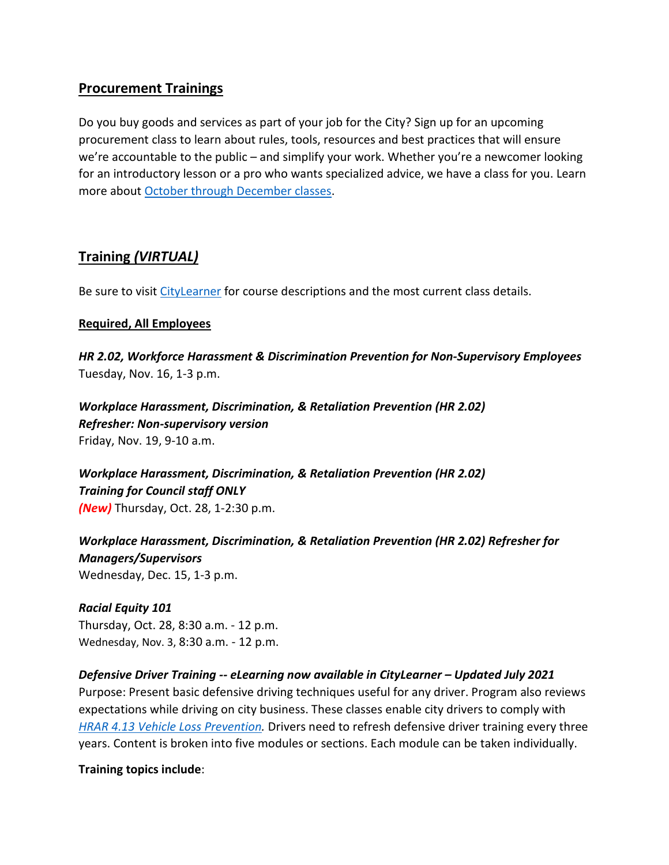# <span id="page-11-0"></span>**Procurement Trainings**

Do you buy goods and services as part of your job for the City? Sign up for an upcoming procurement class to learn about rules, tools, resources and best practices that will ensure we're accountable to the public – and simplify your work. Whether you're a newcomer looking for an introductory lesson or a pro who wants specialized advice, we have a class for you. Learn more about [October through December classes.](https://www.portlandoregon.gov/brfs/index.cfm?&a=780678)

# <span id="page-11-1"></span>**Training** *(VIRTUAL)*

Be sure to visit [CityLearner](https://www.portlandoregon.gov/sf) for course descriptions and the most current class details.

#### **Required, All Employees**

*HR 2.02, Workforce Harassment & Discrimination Prevention for Non-Supervisory Employees* Tuesday, Nov. 16, 1-3 p.m.

*Workplace Harassment, Discrimination, & Retaliation Prevention (HR 2.02) Refresher: Non-supervisory version*  Friday, Nov. 19, 9-10 a.m.

*Workplace Harassment, Discrimination, & Retaliation Prevention (HR 2.02) Training for Council staff ONLY (New)* Thursday, Oct. 28, 1-2:30 p.m.

*Workplace Harassment, Discrimination, & Retaliation Prevention (HR 2.02) Refresher for Managers/Supervisors*  Wednesday, Dec. 15, 1-3 p.m.

*Racial Equity 101* Thursday, Oct. 28, 8:30 a.m. - 12 p.m. Wednesday, Nov. 3, 8:30 a.m. - 12 p.m.

#### *Defensive Driver Training -- eLearning now available in CityLearner – Updated July 2021*

Purpose: Present basic defensive driving techniques useful for any driver. Program also reviews expectations while driving on city business. These classes enable city drivers to comply with *[HRAR 4.13 Vehicle Loss Prevention.](http://www.portlandoregon.gov/?mode=search&search_action=SearchResults&top_category_tree_id=25777&filter_category_tree_id=25777&search_category_tree_id=25777&search_words=HRAR+4.13+Vehicle+Loss+Prevention&submit=Search)* Drivers need to refresh defensive driver training every three years. Content is broken into five modules or sections. Each module can be taken individually.

**Training topics include**: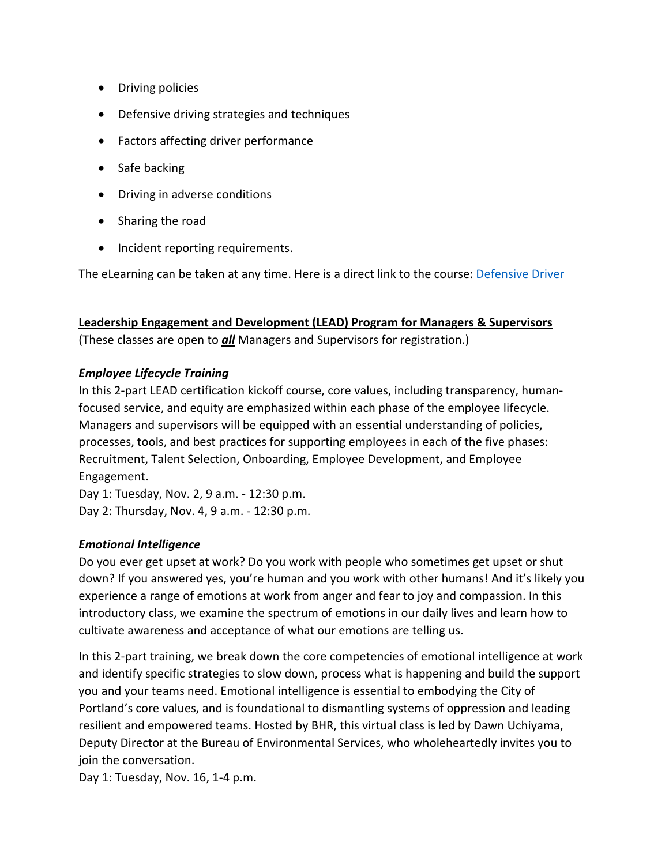- Driving policies
- Defensive driving strategies and techniques
- Factors affecting driver performance
- Safe backing
- Driving in adverse conditions
- Sharing the road
- Incident reporting requirements.

The eLearning can be taken at any time. Here is a direct link to the course: [Defensive Driver](https://cityofport.plateau.com/learning/user/common/viewItemDetails.do?OWASP_CSRFTOKEN=5M1O-5ANN-0TLU-3QOL-OISM-MYFY-1V3A-L7M9&componentID=LMS61011177&componentTypeID=ELRN&fromSF=Y&revisionDate=1607576040000&menuGroup=Learning&menuItem=Cur&fromDeepLink=true&hideItemDetailsBackLink=true)

#### **Leadership Engagement and Development (LEAD) Program for Managers & Supervisors**

(These classes are open to *all* Managers and Supervisors for registration.)

#### *Employee Lifecycle Training*

In this 2-part LEAD certification kickoff course, core values, including transparency, humanfocused service, and equity are emphasized within each phase of the employee lifecycle. Managers and supervisors will be equipped with an essential understanding of policies, processes, tools, and best practices for supporting employees in each of the five phases: Recruitment, Talent Selection, Onboarding, Employee Development, and Employee Engagement.

Day 1: Tuesday, Nov. 2, 9 a.m. - 12:30 p.m. Day 2: Thursday, Nov. 4, 9 a.m. - 12:30 p.m.

#### *Emotional Intelligence*

Do you ever get upset at work? Do you work with people who sometimes get upset or shut down? If you answered yes, you're human and you work with other humans! And it's likely you experience a range of emotions at work from anger and fear to joy and compassion. In this introductory class, we examine the spectrum of emotions in our daily lives and learn how to cultivate awareness and acceptance of what our emotions are telling us.

In this 2-part training, we break down the core competencies of emotional intelligence at work and identify specific strategies to slow down, process what is happening and build the support you and your teams need. Emotional intelligence is essential to embodying the City of Portland's core values, and is foundational to dismantling systems of oppression and leading resilient and empowered teams. Hosted by BHR, this virtual class is led by Dawn Uchiyama, Deputy Director at the Bureau of Environmental Services, who wholeheartedly invites you to join the conversation.

Day 1: Tuesday, Nov. 16, 1-4 p.m.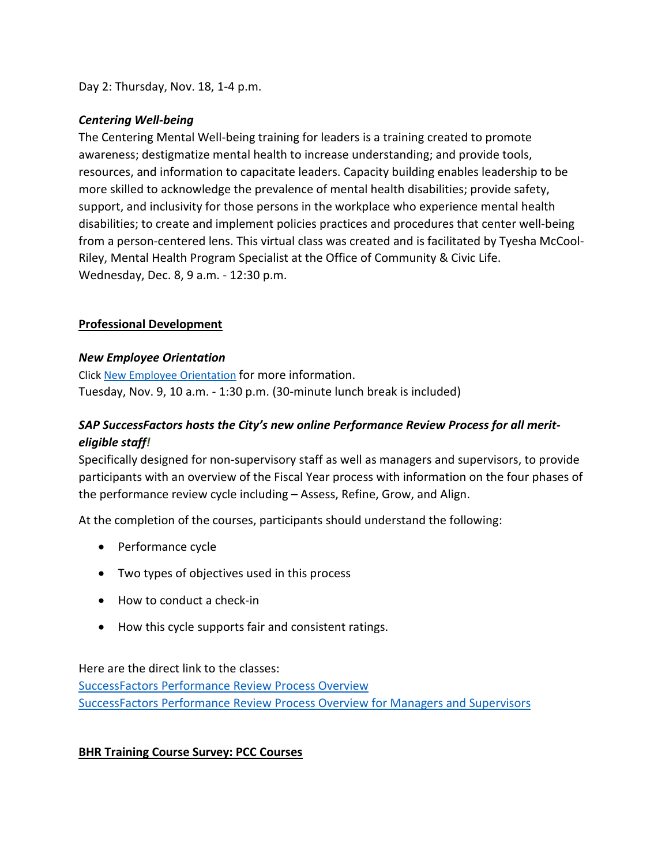Day 2: Thursday, Nov. 18, 1-4 p.m.

#### *Centering Well-being*

The Centering Mental Well-being training for leaders is a training created to promote awareness; destigmatize mental health to increase understanding; and provide tools, resources, and information to capacitate leaders. Capacity building enables leadership to be more skilled to acknowledge the prevalence of mental health disabilities; provide safety, support, and inclusivity for those persons in the workplace who experience mental health disabilities; to create and implement policies practices and procedures that center well-being from a person-centered lens. This virtual class was created and is facilitated by Tyesha McCool-Riley, Mental Health Program Specialist at the Office of Community & Civic Life. Wednesday, Dec. 8, 9 a.m. - 12:30 p.m.

#### **Professional Development**

#### *New Employee Orientation*

Click [New Employee Orientation](https://www.portlandoregon.gov/bhr/77721) for more information. Tuesday, Nov. 9, 10 a.m. - 1:30 p.m. (30-minute lunch break is included)

## *SAP SuccessFactors hosts the City's new online Performance Review Process for all meriteligible staff!*

Specifically designed for non-supervisory staff as well as managers and supervisors, to provide participants with an overview of the Fiscal Year process with information on the four phases of the performance review cycle including – Assess, Refine, Grow, and Align.

At the completion of the courses, participants should understand the following:

- Performance cycle
- Two types of objectives used in this process
- How to conduct a check-in
- How this cycle supports fair and consistent ratings.

Here are the direct link to the classes:

[SuccessFactors Performance Review Process Overview](https://cityofport.plateau.com/learning/user/common/viewItemDetails.do?OWASP_CSRFTOKEN=DU90-LX7U-MJFA-R3RR-74UK-2I97-WO9L-P1RW&componentID=29037&componentTypeID=ELRN&fromSF=Y&revisionDate=1621295700000&menuGroup=Learning&menuItem=Cur&fromDeepLink=true&hideItemDetailsBackLink=true) [SuccessFactors Performance Review Process Overview for Managers and Supervisors](https://cityofport.plateau.com/learning/user/common/viewItemDetails.do?OWASP_CSRFTOKEN=52B6-NP4F-RXCB-ZUY3-124U-DEBZ-IMIS-A678&componentID=29040&componentTypeID=ELRN&fromSF=Y&revisionDate=1621298220000&menuGroup=Learning&menuItem=Cur&fromDeepLink=true&hideItemDetailsBackLink=true)

#### **BHR Training Course Survey: PCC Courses**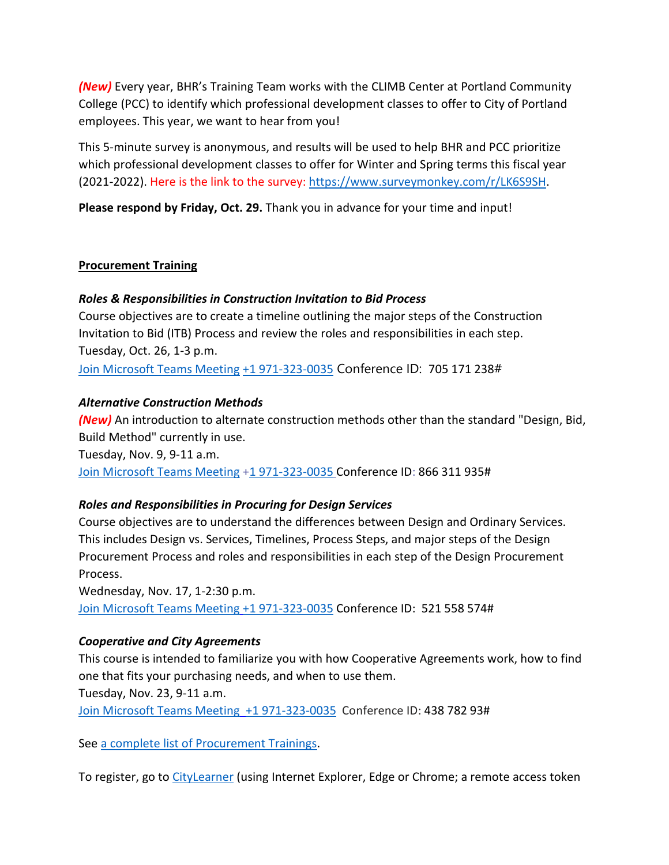*(New)* Every year, BHR's Training Team works with the CLIMB Center at Portland Community College (PCC) to identify which professional development classes to offer to City of Portland employees. This year, we want to hear from you!

This 5-minute survey is anonymous, and results will be used to help BHR and PCC prioritize which professional development classes to offer for Winter and Spring terms this fiscal year (2021-2022). Here is the link to the survey: [https://www.surveymonkey.com/r/LK6S9SH.](https://www.surveymonkey.com/r/LK6S9SH)

**Please respond by Friday, Oct. 29.** Thank you in advance for your time and input!

#### **Procurement Training**

#### *Roles & Responsibilities in Construction Invitation to Bid Process*

Course objectives are to create a timeline outlining the major steps of the Construction Invitation to Bid (ITB) Process and review the roles and responsibilities in each step. Tuesday, Oct. 26, 1-3 p.m.

[Join Microsoft Teams Meeting](https://teams.microsoft.com/l/meetup-join/19%3ameeting_ZTVmYjdjYjYtNDIwNC00MmE4LTkyNDktZTBjOTJjZmFkYjYw%40thread.v2/0?context=%7b%22Tid%22%3a%22636d7808-73c9-41a7-97aa-8c4733642141%22%2c%22Oid%22%3a%2286b2ae6e-2fe6-44ca-9974-4b60b2e2cd99%22%7d) [+1 971-323-0035](tel:+19713230035,,705171238) Conference ID: 705 171 238#

#### *Alternative Construction Methods*

*(New)* An introduction to alternate construction methods other than the standard "Design, Bid, Build Method" currently in use.

Tuesday, Nov. 9, 9-11 a.m. [Join Microsoft Teams Meeting](https://teams.microsoft.com/l/meetup-join/19%3ameeting_ZjhkNmE5Y2EtODgyZS00NGQ4LTkxZGEtMDY1ZTE4YzdlYmZh%40thread.v2/0?context=%7b%22Tid%22%3a%22636d7808-73c9-41a7-97aa-8c4733642141%22%2c%22Oid%22%3a%2286b2ae6e-2fe6-44ca-9974-4b60b2e2cd99%22%7d) [+1 971-323-0035](tel:+19713230035,,866311935) Conference ID: 866 311 935#

## *Roles and Responsibilities in Procuring for Design Services*

Course objectives are to understand the differences between Design and Ordinary Services. This includes Design vs. Services, Timelines, Process Steps, and major steps of the Design Procurement Process and roles and responsibilities in each step of the Design Procurement Process.

Wednesday, Nov. 17, 1-2:30 p.m. [Join Microsoft Teams Meeting](https://teams.microsoft.com/l/meetup-join/19%3ameeting_MzBmYjM1ZTMtYmNhNy00OTAyLWE4MjgtOTZmZGNiZWYwNzU2%40thread.v2/0?context=%7b%22Tid%22%3a%22636d7808-73c9-41a7-97aa-8c4733642141%22%2c%22Oid%22%3a%2286b2ae6e-2fe6-44ca-9974-4b60b2e2cd99%22%7d) [+1 971-323-0035](tel:+19713230035,,521558574) Conference ID: 521 558 574#

#### *Cooperative and City Agreements*

This course is intended to familiarize you with how Cooperative Agreements work, how to find one that fits your purchasing needs, and when to use them.

Tuesday, Nov. 23, 9-11 a.m.

[Join Microsoft Teams Meeting](https://teams.microsoft.com/l/meetup-join/19%3ameeting_YTUwYjg0ODEtMTZiMS00ZmRlLThjODctZDE5NDdkNzg1ZTdh%40thread.v2/0?context=%7b%22Tid%22%3a%22636d7808-73c9-41a7-97aa-8c4733642141%22%2c%22Oid%22%3a%2286b2ae6e-2fe6-44ca-9974-4b60b2e2cd99%22%7d) [+1 971-323-0035](tel:+19713230035,,43878293) Conference ID: 438 782 93#

See [a complete list of Procurement Trainings.](https://www.portlandoregon.gov/brfs/article/780678)

To register, go to [CityLearner](https://www.portlandoregon.gov/sf) (using Internet Explorer, Edge or Chrome; a remote access token